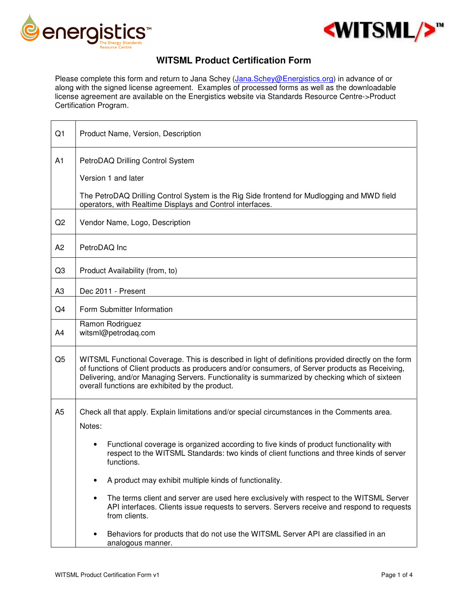

 $\Gamma$ 



## **WITSML Product Certification Form**

Please complete this form and return to Jana Schey (Jana.Schey@Energistics.org) in advance of or along with the signed license agreement. Examples of processed forms as well as the downloadable license agreement are available on the Energistics website via Standards Resource Centre->Product Certification Program.

| Q <sub>1</sub> | Product Name, Version, Description                                                                                                                                                                                                                                                                                                                         |
|----------------|------------------------------------------------------------------------------------------------------------------------------------------------------------------------------------------------------------------------------------------------------------------------------------------------------------------------------------------------------------|
| A1             | PetroDAQ Drilling Control System<br>Version 1 and later                                                                                                                                                                                                                                                                                                    |
|                | The PetroDAQ Drilling Control System is the Rig Side frontend for Mudlogging and MWD field<br>operators, with Realtime Displays and Control interfaces.                                                                                                                                                                                                    |
| Q <sub>2</sub> | Vendor Name, Logo, Description                                                                                                                                                                                                                                                                                                                             |
| A <sub>2</sub> | PetroDAQ Inc                                                                                                                                                                                                                                                                                                                                               |
| Q3             | Product Availability (from, to)                                                                                                                                                                                                                                                                                                                            |
| A <sub>3</sub> | Dec 2011 - Present                                                                                                                                                                                                                                                                                                                                         |
| Q4             | Form Submitter Information                                                                                                                                                                                                                                                                                                                                 |
| A4             | Ramon Rodriguez<br>witsml@petrodaq.com                                                                                                                                                                                                                                                                                                                     |
| Q <sub>5</sub> | WITSML Functional Coverage. This is described in light of definitions provided directly on the form<br>of functions of Client products as producers and/or consumers, of Server products as Receiving,<br>Delivering, and/or Managing Servers. Functionality is summarized by checking which of sixteen<br>overall functions are exhibited by the product. |
| A <sub>5</sub> | Check all that apply. Explain limitations and/or special circumstances in the Comments area.<br>Notes:                                                                                                                                                                                                                                                     |
|                | Functional coverage is organized according to five kinds of product functionality with<br>respect to the WITSML Standards: two kinds of client functions and three kinds of server<br>functions.                                                                                                                                                           |
|                | A product may exhibit multiple kinds of functionality.<br>٠                                                                                                                                                                                                                                                                                                |
|                | The terms client and server are used here exclusively with respect to the WITSML Server<br>٠<br>API interfaces. Clients issue requests to servers. Servers receive and respond to requests<br>from clients.                                                                                                                                                |
|                | Behaviors for products that do not use the WITSML Server API are classified in an<br>٠<br>analogous manner.                                                                                                                                                                                                                                                |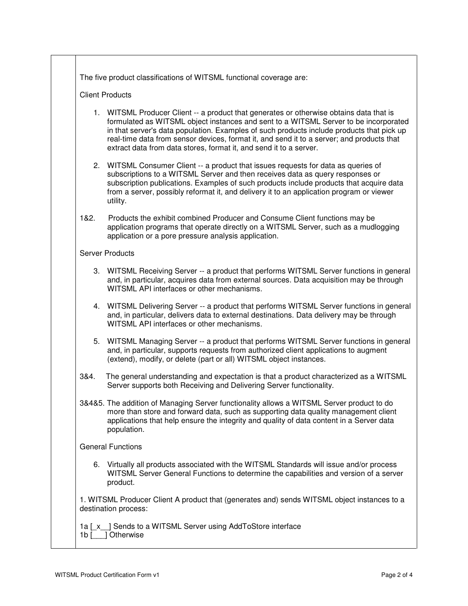The five product classifications of WITSML functional coverage are:

## Client Products

- 1. WITSML Producer Client -- a product that generates or otherwise obtains data that is formulated as WITSML object instances and sent to a WITSML Server to be incorporated in that server's data population. Examples of such products include products that pick up real-time data from sensor devices, format it, and send it to a server; and products that extract data from data stores, format it, and send it to a server.
- 2. WITSML Consumer Client -- a product that issues requests for data as queries of subscriptions to a WITSML Server and then receives data as query responses or subscription publications. Examples of such products include products that acquire data from a server, possibly reformat it, and delivery it to an application program or viewer utility.
- 1&2. Products the exhibit combined Producer and Consume Client functions may be application programs that operate directly on a WITSML Server, such as a mudlogging application or a pore pressure analysis application.

## Server Products

- 3. WITSML Receiving Server -- a product that performs WITSML Server functions in general and, in particular, acquires data from external sources. Data acquisition may be through WITSML API interfaces or other mechanisms.
- 4. WITSML Delivering Server -- a product that performs WITSML Server functions in general and, in particular, delivers data to external destinations. Data delivery may be through WITSML API interfaces or other mechanisms.
- 5. WITSML Managing Server -- a product that performs WITSML Server functions in general and, in particular, supports requests from authorized client applications to augment (extend), modify, or delete (part or all) WITSML object instances.
- 3&4. The general understanding and expectation is that a product characterized as a WITSML Server supports both Receiving and Delivering Server functionality.
- 3&4&5. The addition of Managing Server functionality allows a WITSML Server product to do more than store and forward data, such as supporting data quality management client applications that help ensure the integrity and quality of data content in a Server data population.

## General Functions

6. Virtually all products associated with the WITSML Standards will issue and/or process WITSML Server General Functions to determine the capabilities and version of a server product.

1. WITSML Producer Client A product that (generates and) sends WITSML object instances to a destination process:

1a [\_x\_\_] Sends to a WITSML Server using AddToStore interface 1b [ ] Otherwise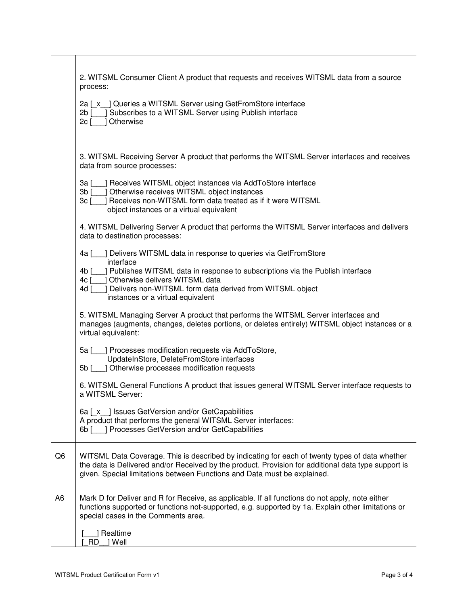|                | 2. WITSML Consumer Client A product that requests and receives WITSML data from a source<br>process:                                                                                                                                                                              |
|----------------|-----------------------------------------------------------------------------------------------------------------------------------------------------------------------------------------------------------------------------------------------------------------------------------|
|                | 2a [x ] Queries a WITSML Server using GetFromStore interface<br>] Subscribes to a WITSML Server using Publish interface<br>$2b$ [<br>1 Otherwise<br>2c [                                                                                                                          |
|                | 3. WITSML Receiving Server A product that performs the WITSML Server interfaces and receives<br>data from source processes:                                                                                                                                                       |
|                | ] Receives WITSML object instances via AddToStore interface<br>3a [<br>] Otherwise receives WITSML object instances<br>$3b$ $\lceil$<br>Receives non-WITSML form data treated as if it were WITSML<br>$3c$ [<br>object instances or a virtual equivalent                          |
|                | 4. WITSML Delivering Server A product that performs the WITSML Server interfaces and delivers<br>data to destination processes:                                                                                                                                                   |
|                | ] Delivers WITSML data in response to queries via GetFromStore<br>4a [<br>interface<br>$4b$ [<br>] Publishes WITSML data in response to subscriptions via the Publish interface                                                                                                   |
|                | Otherwise delivers WITSML data<br>4c [<br>4d [<br>Delivers non-WITSML form data derived from WITSML object<br>instances or a virtual equivalent                                                                                                                                   |
|                | 5. WITSML Managing Server A product that performs the WITSML Server interfaces and<br>manages (augments, changes, deletes portions, or deletes entirely) WITSML object instances or a<br>virtual equivalent:                                                                      |
|                | ] Processes modification requests via AddToStore,<br>5a [<br>UpdateInStore, DeleteFromStore interfaces<br>5b [ ] Otherwise processes modification requests                                                                                                                        |
|                | 6. WITSML General Functions A product that issues general WITSML Server interface requests to<br>a WITSML Server:                                                                                                                                                                 |
|                | 6a [x ] Issues GetVersion and/or GetCapabilities<br>A product that performs the general WITSML Server interfaces:<br>6b [ ] Processes GetVersion and/or GetCapabilities                                                                                                           |
| Q <sub>6</sub> | WITSML Data Coverage. This is described by indicating for each of twenty types of data whether<br>the data is Delivered and/or Received by the product. Provision for additional data type support is<br>given. Special limitations between Functions and Data must be explained. |
| A <sub>6</sub> | Mark D for Deliver and R for Receive, as applicable. If all functions do not apply, note either<br>functions supported or functions not-supported, e.g. supported by 1a. Explain other limitations or<br>special cases in the Comments area.                                      |
|                | Realtime<br><b>RD</b><br>Well                                                                                                                                                                                                                                                     |

Г

┑

٦